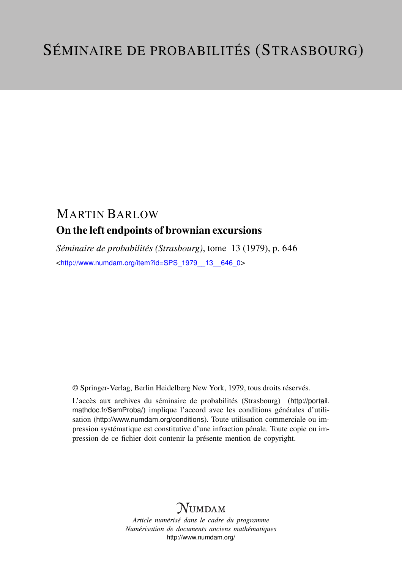## MARTIN BARLOW On the left endpoints of brownian excursions

*Séminaire de probabilités (Strasbourg)*, tome 13 (1979), p. 646 <[http://www.numdam.org/item?id=SPS\\_1979\\_\\_13\\_\\_646\\_0](http://www.numdam.org/item?id=SPS_1979__13__646_0)>

© Springer-Verlag, Berlin Heidelberg New York, 1979, tous droits réservés.

L'accès aux archives du séminaire de probabilités (Strasbourg) ([http://portail.](http://portail.mathdoc.fr/SemProba/) [mathdoc.fr/SemProba/](http://portail.mathdoc.fr/SemProba/)) implique l'accord avec les conditions générales d'utilisation (<http://www.numdam.org/conditions>). Toute utilisation commerciale ou impression systématique est constitutive d'une infraction pénale. Toute copie ou impression de ce fichier doit contenir la présente mention de copyright.

## **NUMDAM**

*Article numérisé dans le cadre du programme Numérisation de documents anciens mathématiques* <http://www.numdam.org/>